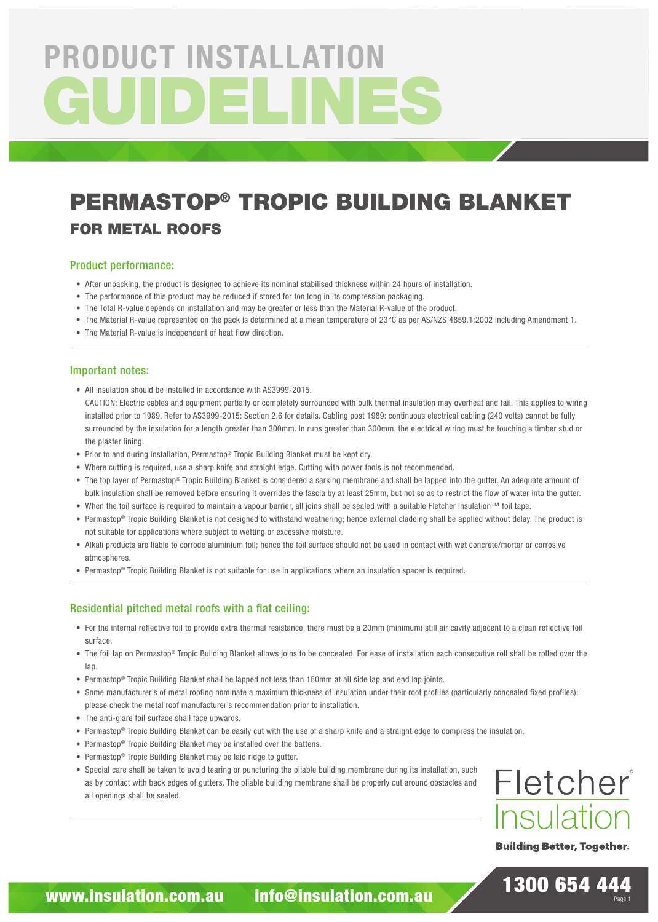# GUIDELINE PRODUCT INSTALLATION

## PERMASTOP® TROPIC BUILDING BLANKET FOR METAL ROOFS

#### Product performance:

- After unpacking, the product is designed to achieve its nominal stabilised thickness within 24 hours of installation.
- The performance of this product may be reduced if stored for too long in its compression packaging.
- The Total R-value depends on installation and may be greater or less than the Material R-value of the product.
- The Material R-value represented on the pack is determined at a mean temperature of 23°C as per AS/NZS 4859.1:2002 including Amendment 1.
- The Material R-value is independent of heat flow direction.

#### Important notes:

• All insulation should be installed in accordance with AS3999-2015.

CAUTION: Electric cables and equipment partially or completely surrounded with bulk thermal insulation may overheat and fail. This applies to wiring installed prior to 1989. Refer to AS3999-2015: Section 2.6 for details. Cabling post 1989: continuous electrical cabling (240 volts) cannot be fully surrounded by the insulation for a length greater than 300mm. In runs greater than 300mm, the electrical wiring must be touching a timber stud or the plaster lining.

- Prior to and during installation, Permastop® Tropic Building Blanket must be kept dry.
- Where cutting is required, use a sharp knife and straight edge. Cutting with power tools is not recommended.
- The top layer of Permastop® Tropic Building Blanket is considered a sarking membrane and shall be lapped into the gutter. An adequate amount of bulk insulation shall be removed before ensuring it overrides the fascia by at least 25mm, but not so as to restrict the flow of water into the gutter.
- When the foil surface is required to maintain a vapour barrier, all joins shall be sealed with a suitable Fletcher Insulation™ foil tape.
- Permastop® Tropic Building Blanket is not designed to withstand weathering; hence external cladding shall be applied without delay. The product is not suitable for applications where subject to wetting or excessive moisture.
- Alkali products are liable to corrode aluminium foil; hence the foil surface should not be used in contact with wet concrete/mortar or corrosive atmospheres
- Permastop® Tropic Building Blanket is not suitable for use in applications where an insulation spacer is required.

#### Residential pitched metal roofs with a flat ceiling:

- For the internal reflective foil to provide extra thermal resistance, there must be a 20mm (minimum) still air cavity adjacent to a clean reflective foil surface.
- The foil lap on Permastop® Tropic Building Blanket allows joins to be concealed. For ease of installation each consecutive roll shall be rolled over the lap.
- Permastop® Tropic Building Blanket shall be lapped not less than 150mm at all side lap and end lap joints.
- Some manufacturer's of metal roofing nominate a maximum thickness of insulation under their roof profiles (particularly concealed fixed profiles); please check the metal roof manufacturer's recommendation prior to installation.
- The anti-glare foil surface shall face upwards.
- Permastop® Tropic Building Blanket can be easily cut with the use of a sharp knife and a straight edge to compress the insulation.
- Permastop® Tropic Building Blanket may be installed over the battens.
- Permastop® Tropic Building Blanket may be laid ridge to gutter.
- Special care shall be taken to avoid tearing or puncturing the pliable building membrane during its installation, such as by contact with back edges of gutters. The pliable building membrane shall be properly cut around obstacles and all openings shall be sealed.



**Building Better, Together.** 

1300 654 444

Page 1